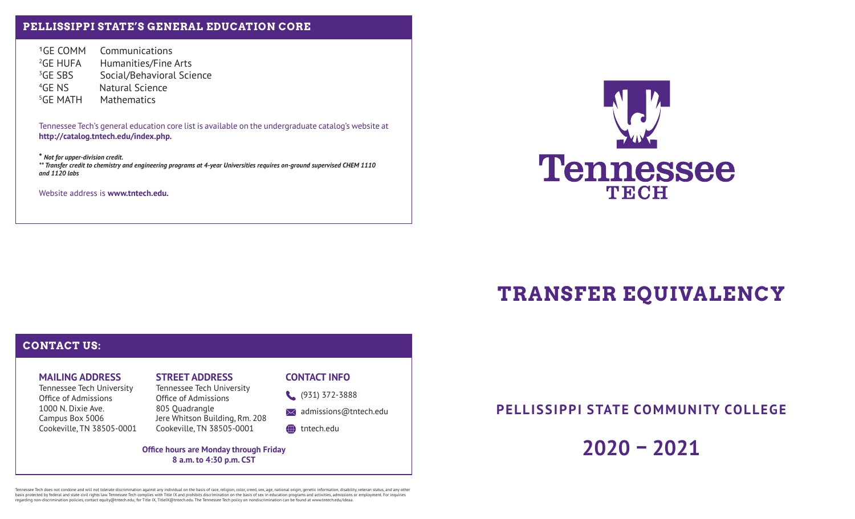## **PELLISSIPPI STATE'S GENERAL EDUCATION CORE**

GE COMM Communications <sup>2</sup>GE HUFA Humanities/Fine Arts <sup>3</sup>GE SBS Social/Behavioral Science 4GE NS Natural Science 5GE MATH Mathematics

Tennessee Tech's general education core list is available on the undergraduate catalog's website at **http://catalog.tntech.edu/index.php.**

**\*** *Not for upper-division credit. \*\* Transfer credit to chemistry and engineering programs at 4-year Universities requires on-ground supervised CHEM 1110 and 1120 labs*

Website address is **www.tntech.edu.**



# **TRANSFER EQUIVALENCY**

# **CONTACT US:**

## **MAILING ADDRESS**

Tennessee Tech University Office of Admissions 1000 N. Dixie Ave. Campus Box 5006 Cookeville, TN 38505-0001

# **STREET ADDRESS**

Tennessee Tech University Office of Admissions 805 Quadrangle Jere Whitson Building, Rm. 208 Cookeville, TN 38505-0001

### **CONTACT INFO**

(931) 372-3888

 $\bowtie$  admissions@tntech.edu

### tntech.edu

**Office hours are Monday through Friday 8 a.m. to 4:30 p.m. CST**

**PELLISSIPPI STATE COMMUNITY COLLEGE**

**2020 – 2021**

Tennessee Tech does not oomdone and will not tolerate discrimination against any individual on the basis of rac, religion, color, creed, sex, age, national origin, genetic information or englosted by reduced by reduced by regarding non-discrimination policies, contact equity@tntech.edu; for Title IX, TitleIX@tntech.edu. The Tennessee Tech policy on nondiscrimination can be found at www.tntech.edu/ideaa.